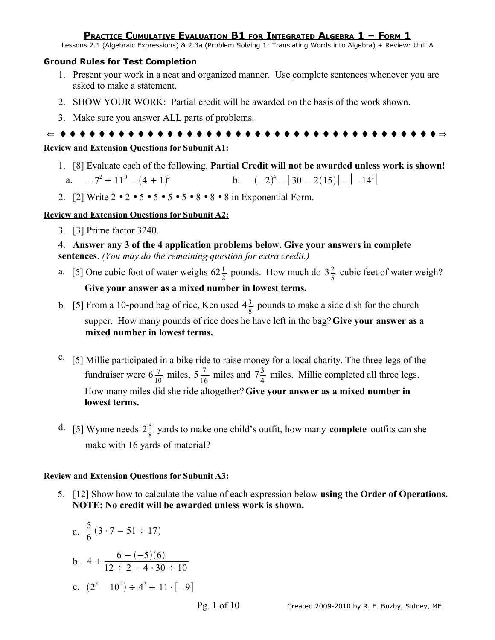Lessons 2.1 (Algebraic Expressions) & 2.3a (Problem Solving 1: Translating Words into Algebra) + Review: Unit A

#### **Ground Rules for Test Completion**

- 1. Present your work in a neat and organized manner. Use complete sentences whenever you are asked to make a statement.
- 2. SHOW YOUR WORK: Partial credit will be awarded on the basis of the work shown.
- 3. Make sure you answer ALL parts of problems.

```
⇐ ♦ ♦ ♦ ♦ ♦ ♦ ♦ ♦ ♦ ♦ ♦ ♦ ♦ ♦ ♦ ♦ ♦ ♦ ♦ ♦ ♦ ♦ ♦ ♦ ♦ ♦ ♦ ♦ ♦ ♦ ♦ ♦ ♦ ♦ ♦ ♦ ♦ ♦ ♦ ⇒
```
#### **Review and Extension Questions for Subunit A1:**

- 1. [8] Evaluate each of the following. **Partial Credit will not be awarded unless work is shown!** a.  $-7^2 + 11^0 - (4 + 1)^3$ **b**.  $(-2)^4 - |30 - 2(15)| - |-14^1|$
- 2. [2] Write  $2 \cdot 2 \cdot 5 \cdot 5 \cdot 5 \cdot 5 \cdot 8 \cdot 8 \cdot 8$  in Exponential Form.

### **Review and Extension Questions for Subunit A2:**

3. [3] Prime factor 3240.

4. **Answer any 3 of the 4 application problems below. Give your answers in complete sentences**. *(You may do the remaining question for extra credit.)*

- a. [5] One cubic foot of water weighs  $62\frac{1}{2}$  pounds. How much do  $3\frac{2}{5}$  $\frac{2}{5}$  cubic feet of water weigh? **Give your answer as a mixed number in lowest terms.**
- b. [5] From a 10-pound bag of rice, Ken used  $4\frac{3}{8}$  $\frac{3}{8}$  pounds to make a side dish for the church supper. How many pounds of rice does he have left in the bag?**Give your answer as a mixed number in lowest terms.**
- c. [5] Millie participated in a bike ride to raise money for a local charity. The three legs of the fundraiser were  $6\frac{7}{10}$  miles,  $5\frac{7}{16}$  $\frac{7}{16}$  miles and  $7\frac{3}{4}$  $\frac{3}{4}$  miles. Millie completed all three legs. How many miles did she ride altogether?**Give your answer as a mixed number in lowest terms.**
- d. [5] Wynne needs  $2\frac{5}{6}$  $\frac{5}{8}$  yards to make one child's outfit, how many **complete** outfits can she make with 16 yards of material?

### **Review and Extension Questions for Subunit A3:**

5. [12] Show how to calculate the value of each expression below **using the Order of Operations. NOTE: No credit will be awarded unless work is shown.**

a. 
$$
\frac{5}{6}(3 \cdot 7 - 51 \div 17)
$$
  
\nb.  $4 + \frac{6 - (-5)(6)}{12 \div 2 - 4 \cdot 30 \div 10}$   
\nc.  $(2^5 - 10^2) \div 4^2 + 11 \cdot [-9]$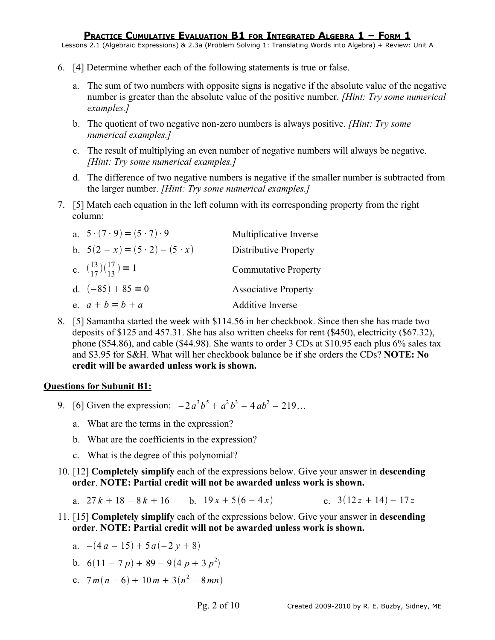Lessons 2.1 (Algebraic Expressions) & 2.3a (Problem Solving 1: Translating Words into Algebra) + Review: Unit A

- 6. [4] Determine whether each of the following statements is true or false.
	- a. The sum of two numbers with opposite signs is negative if the absolute value of the negative number is greater than the absolute value of the positive number. *[Hint: Try some numerical examples.]*
	- b. The quotient of two negative non-zero numbers is always positive. *[Hint: Try some numerical examples.]*
	- c. The result of multiplying an even number of negative numbers will always be negative. *[Hint: Try some numerical examples.]*
	- d. The difference of two negative numbers is negative if the smaller number is subtracted from the larger number. *[Hint: Try some numerical examples.]*
- 7. [5] Match each equation in the left column with its corresponding property from the right column:

| a. $5 \cdot (7 \cdot 9) = (5 \cdot 7) \cdot 9$                | Multiplicative Inverse       |
|---------------------------------------------------------------|------------------------------|
| b. $5(2-x) = (5 \cdot 2) - (5 \cdot x)$                       | <b>Distributive Property</b> |
| c. $\left(\frac{13}{17}\right)\left(\frac{17}{13}\right) = 1$ | <b>Commutative Property</b>  |
| d. $(-85) + 85 = 0$                                           | <b>Associative Property</b>  |
| e. $a + b = b + a$                                            | <b>Additive Inverse</b>      |

8. [5] Samantha started the week with \$114.56 in her checkbook. Since then she has made two deposits of \$125 and 457.31. She has also written cheeks for rent (\$450), electricity (\$67.32), phone (\$54.86), and cable (\$44.98). She wants to order 3 CDs at \$10.95 each plus 6% sales tax and \$3.95 for S&H. What will her checkbook balance be if she orders the CDs? **NOTE: No credit will be awarded unless work is shown.**

## **Questions for Subunit B1:**

- 9. [6] Given the expression:  $-2a^3b^5 + a^2b^3 4ab^2 219...$ 
	- a. What are the terms in the expression?
	- b. What are the coefficients in the expression?
	- c. What is the degree of this polynomial?
- 10. [12] **Completely simplify** each of the expressions below. Give your answer in **descending order**. **NOTE: Partial credit will not be awarded unless work is shown.**
	- a.  $27k + 18 8k + 16$  b.  $19x + 5(6 4x)$  c.  $3(12z + 14) 17z$
- 11. [15] **Completely simplify** each of the expressions below. Give your answer in **descending order**. **NOTE: Partial credit will not be awarded unless work is shown.**

a. 
$$
-(4a - 15) + 5a(-2y + 8)
$$

b. 
$$
6(11 - 7p) + 89 - 9(4p + 3p^2)
$$

c.  $7m(n-6) + 10m + 3(n^2 - 8mn)$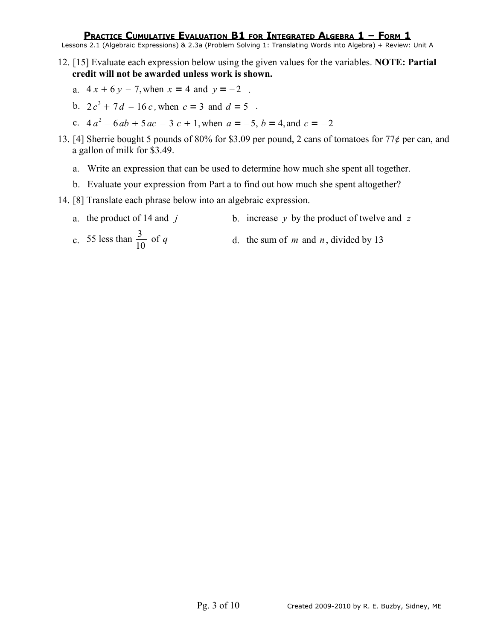Lessons 2.1 (Algebraic Expressions) & 2.3a (Problem Solving 1: Translating Words into Algebra) + Review: Unit A

- 12. [15] Evaluate each expression below using the given values for the variables. **NOTE: Partial credit will not be awarded unless work is shown.**
	- a.  $4x + 6y 7$ , when  $x = 4$  and  $y = -2$ .
	- b.  $2c^3 + 7d 16c$ , when  $c = 3$  and  $d = 5$ .
	- c.  $4a^2 6ab + 5ac 3c + 1$ , when  $a = -5$ ,  $b = 4$ , and  $c = -2$
- 13. [4] Sherrie bought 5 pounds of 80% for \$3.09 per pound, 2 cans of tomatoes for 77 $\phi$  per can, and a gallon of milk for \$3.49.
	- a. Write an expression that can be used to determine how much she spent all together.
	- b. Evaluate your expression from Part a to find out how much she spent altogether?
- 14. [8] Translate each phrase below into an algebraic expression.
	- a. the product of 14 and *j* b. increase *y* by the product of twelve and *z*
	- c. 55 less than  $\frac{3}{10}$ d. the sum of  $m$  and  $n$ , divided by 13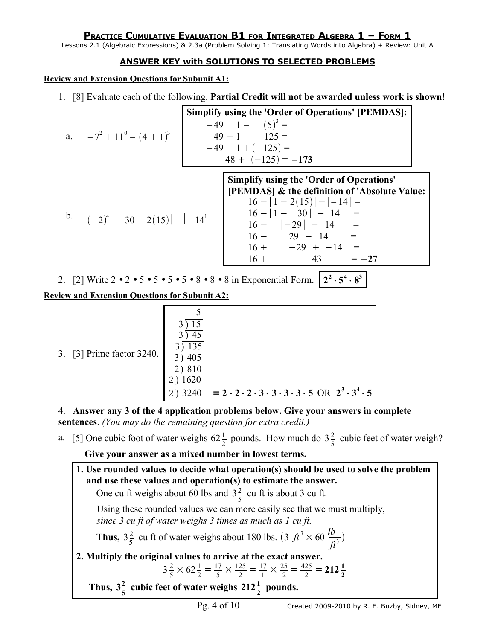Lessons 2.1 (Algebraic Expressions) & 2.3a (Problem Solving 1: Translating Words into Algebra) + Review: Unit A

## **ANSWER KEY with SOLUTIONS TO SELECTED PROBLEMS**

**Review and Extension Questions for Subunit A1:**

1. [8] Evaluate each of the following. **Partial Credit will not be awarded unless work is shown!**

|                                                                                                                                                        |  | <b>Simplify using the 'Order of Operations' [PEMDAS]:</b>                                                                                       |
|--------------------------------------------------------------------------------------------------------------------------------------------------------|--|-------------------------------------------------------------------------------------------------------------------------------------------------|
|                                                                                                                                                        |  | $-49 + 1 - (5)^3 =$                                                                                                                             |
| a. $-7^2 + 11^0 - (4 + 1)^3$                                                                                                                           |  | $-49+1-125=$                                                                                                                                    |
|                                                                                                                                                        |  | $-49 + 1 + (-125) =$                                                                                                                            |
|                                                                                                                                                        |  | $-48 + (-125) = -173$                                                                                                                           |
|                                                                                                                                                        |  | <b>Simplify using the 'Order of Operations'</b><br>[PEMDAS] & the definition of 'Absolute Value:                                                |
|                                                                                                                                                        |  | $16 -  1 - 2(15)  -  -14  =$                                                                                                                    |
| b. $(-2)^4 -  30 - 2(15)  -  -14^1 $ $\begin{array}{ c c c c c c c c } \hline 16 -  1 - 30  & -14 & = & \ 16 -  -29  & -14 & = & \ \hline \end{array}$ |  |                                                                                                                                                 |
|                                                                                                                                                        |  |                                                                                                                                                 |
|                                                                                                                                                        |  | $16 - 29 - 14 =$                                                                                                                                |
|                                                                                                                                                        |  | $16 + -29 + -14 =$                                                                                                                              |
|                                                                                                                                                        |  | $16 + -43 = -27$                                                                                                                                |
|                                                                                                                                                        |  | 2. [2] Write $2 \cdot 2 \cdot 5 \cdot 5 \cdot 5 \cdot 5 \cdot 5 \cdot 8 \cdot 8 \cdot 8 \cdot 8$ in Exponential Form. $2^2 \cdot 5^4 \cdot 8^3$ |
| <b>Review and Extension Questions for Subunit A2:</b>                                                                                                  |  |                                                                                                                                                 |

| 3. [3] Prime factor 3240. | 135                  |                                                                                                 |
|---------------------------|----------------------|-------------------------------------------------------------------------------------------------|
|                           |                      |                                                                                                 |
|                           | 1620<br>$\sqrt{240}$ | $= 2 \cdot 2 \cdot 2 \cdot 3 \cdot 3 \cdot 3 \cdot 3 \cdot 5 \text{ OR } 2^3 \cdot 3^4 \cdot 5$ |

5

4. **Answer any 3 of the 4 application problems below. Give your answers in complete sentences**. *(You may do the remaining question for extra credit.)*

a. [5] One cubic foot of water weighs  $62\frac{1}{2}$  pounds. How much do  $3\frac{2}{5}$  $\frac{2}{5}$  cubic feet of water weigh?

**Give your answer as a mixed number in lowest terms.**

**1. Use rounded values to decide what operation(s) should be used to solve the problem and use these values and operation(s) to estimate the answer.** One cu ft weighs about 60 lbs and  $3\frac{2}{5}$  $\frac{2}{5}$  cu ft is about 3 cu ft. Using these rounded values we can more easily see that we must multiply, *since 3 cu ft of water weighs 3 times as much as 1 cu ft.*  **Thus,**  $3\frac{2}{5}$  $\frac{2}{5}$  cu ft of water weighs about 180 lbs. (3  $ft^3 \times 60 \frac{lb}{ft}$  $\frac{b}{ft^3}$ **2. Multiply the original values to arrive at the exact answer.**  $3\frac{2}{5}$  $\frac{2}{5} \times 62\frac{1}{2} = \frac{17}{5}$  $\frac{17}{5} \times \frac{125}{2}$  $\frac{25}{2} = \frac{17}{1}$  $\frac{17}{1} \times \frac{25}{2}$  $\frac{25}{2} = \frac{425}{2}$  $\frac{25}{2}$  = 212 $\frac{1}{2}$ Thus,  $3\frac{2}{5}$  $\frac{2}{5}$  cubic feet of water weighs  $212\frac{1}{2}$  pounds.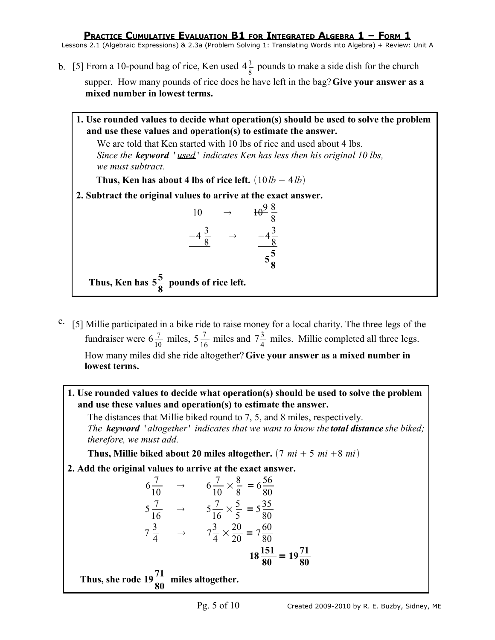- b. [5] From a 10-pound bag of rice, Ken used  $4\frac{3}{8}$  $\frac{3}{8}$  pounds to make a side dish for the church supper. How many pounds of rice does he have left in the bag?**Give your answer as a mixed number in lowest terms.**
	- **1. Use rounded values to decide what operation(s) should be used to solve the problem and use these values and operation(s) to estimate the answer.**

We are told that Ken started with 10 lbs of rice and used about 4 lbs. *Since the keyword* ' *used* ' *indicates Ken has less then his original 10 lbs, we must subtract.*

**Thus, Ken has about 4 lbs of rice left.**  $(10*lb* – 4*lb*)$ 

**2. Subtract the original values to arrive at the exact answer.**

$$
10 \rightarrow 40^{\frac{9}{8}} \frac{8}{8}
$$
  
-4 $\frac{3}{8}$   $\rightarrow$  -4 $\frac{3}{8}$   
 $\frac{-4\frac{3}{8}}{5\frac{5}{8}}$ 

Thus, Ken has  $5\frac{5}{9}$ **8 pounds of rice left.**

- c. [5] Millie participated in a bike ride to raise money for a local charity. The three legs of the fundraiser were  $6\frac{7}{10}$  miles,  $5\frac{7}{16}$  $\frac{7}{16}$  miles and  $7\frac{3}{4}$  $\frac{3}{4}$  miles. Millie completed all three legs. How many miles did she ride altogether?**Give your answer as a mixed number in lowest terms.**
	- **1. Use rounded values to decide what operation(s) should be used to solve the problem and use these values and operation(s) to estimate the answer.**

The distances that Millie biked round to 7, 5, and 8 miles, respectively. *The keyword* ' *altogether*' *indicates that we want to know the total distance she biked; therefore, we must add.*

**Thus, Millie biked about 20 miles altogether.**  $(7 \text{ mi} + 5 \text{ mi} + 8 \text{ mi})$ 

**2. Add the original values to arrive at the exact answer.**

$$
6\frac{7}{10} \rightarrow 6\frac{7}{10} \times \frac{8}{8} = 6\frac{56}{80}
$$
  

$$
5\frac{7}{16} \rightarrow 5\frac{7}{16} \times \frac{5}{5} = 5\frac{35}{80}
$$
  

$$
7\frac{3}{4} \rightarrow 7\frac{3}{4} \times \frac{20}{20} = 7\frac{60}{80}
$$
  

$$
18\frac{151}{80} = 19\frac{71}{80}
$$

Thus, she rode  $19\frac{71}{20}$ **80 miles altogether.**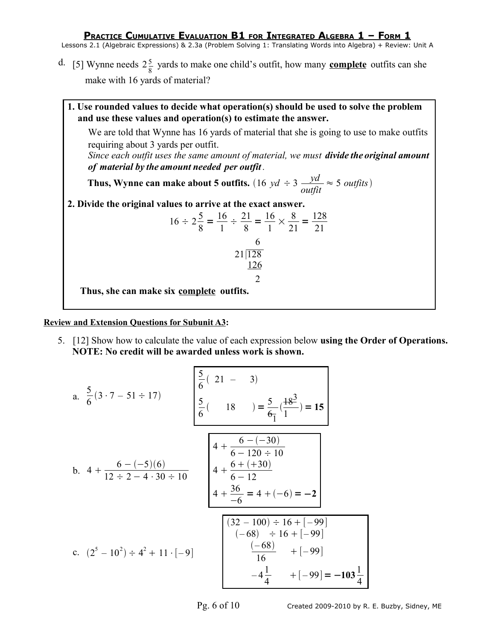Lessons 2.1 (Algebraic Expressions) & 2.3a (Problem Solving 1: Translating Words into Algebra) + Review: Unit A

- d. [5] Wynne needs  $2\frac{5}{6}$  $\frac{5}{8}$  yards to make one child's outfit, how many **complete** outfits can she make with 16 yards of material?
- **1. Use rounded values to decide what operation(s) should be used to solve the problem and use these values and operation(s) to estimate the answer.** We are told that Wynne has 16 yards of material that she is going to use to make outfits requiring about 3 yards per outfit. *Since each outfit uses the same amount of material, we must divide the original amount of material by the amount needed per outfit .* **Thus, Wynne can make about 5 outfits.**  $(16 \text{ yd} \div 3 \frac{\text{yd}}{\text{output}} \approx 5 \text{ outputs})$ **2. Divide the original values to arrive at the exact answer.**  $16 \div 2\frac{5}{9}$ 8  $=\frac{16}{1}$ 1  $\div \frac{21}{2}$ 8  $=\frac{16}{1}$ 1  $\times \frac{8}{21}$ 21  $=\frac{128}{21}$ 21 6 21|128 126  $\mathfrak{D}$ **Thus, she can make six complete outfits.**

**Review and Extension Questions for Subunit A3:**

5. [12] Show how to calculate the value of each expression below **using the Order of Operations. NOTE: No credit will be awarded unless work is shown.**

a. 
$$
\frac{5}{6}(3 \cdot 7 - 51 \div 17)
$$
  
\n $\frac{5}{6}(-18) = \frac{5}{6}(\frac{18^3}{1}) = 15$   
\nb.  $4 + \frac{6 - (-5)(6)}{12 \div 2 - 4 \cdot 30 \div 10}$   
\n $\left.\begin{array}{r} 4 + \frac{6 - (-30)}{6 - 120 \div 10} \\ 4 + \frac{6 + (+30)}{6 - 12} \\ 4 + \frac{36}{-6} = 4 + (-6) = -2 \end{array}\right\}$   
\nc.  $(2^5 - 10^2) \div 4^2 + 11 \cdot [-9]$   
\n $\left.\begin{array}{r} (32 - 100) \div 16 + [-99] \\ (16) \div 16 + [-99] \\ 16 \end{array}\right\}$   
\n $\left.\begin{array}{r} -(68) \div 16 + [-99] \\ -4\frac{1}{4} \end{array}\right\}$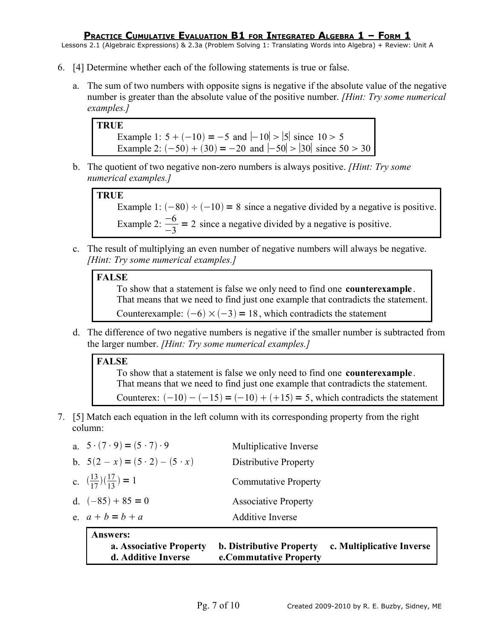Lessons 2.1 (Algebraic Expressions) & 2.3a (Problem Solving 1: Translating Words into Algebra) + Review: Unit A

- 6. [4] Determine whether each of the following statements is true or false.
	- a. The sum of two numbers with opposite signs is negative if the absolute value of the negative number is greater than the absolute value of the positive number. *[Hint: Try some numerical examples.]*

```
TRUE
Example 1: 5 + (-10) = -5 and |-10| > |5| since 10 > 5Example 2: (-50) + (30) = -20 and |-50| > |30| since 50 > 30
```
b. The quotient of two negative non-zero numbers is always positive. *[Hint: Try some numerical examples.]*



Example 1:  $(-80) \div (-10) = 8$  since a negative divided by a negative is positive. Example 2:  $\frac{-6}{3}$ −3 = 2 since a negative divided by a negative is positive.

c. The result of multiplying an even number of negative numbers will always be negative. *[Hint: Try some numerical examples.]*

## **FALSE**

To show that a statement is false we only need to find one **counterexample**. That means that we need to find just one example that contradicts the statement. Counterexample:  $(-6) \times (-3) = 18$ , which contradicts the statement

d. The difference of two negative numbers is negative if the smaller number is subtracted from the larger number. *[Hint: Try some numerical examples.]*

## **FALSE**

To show that a statement is false we only need to find one **counterexample**. That means that we need to find just one example that contradicts the statement. Counterex:  $(-10) - (-15) = (-10) + (+15) = 5$ , which contradicts the statement

7. [5] Match each equation in the left column with its corresponding property from the right column:

| <b>Answers:</b><br>a. Associative Property<br>d. Additive Inverse | <b>b. Distributive Property</b><br>e.Commutative Property | c. Multiplicative Inverse |
|-------------------------------------------------------------------|-----------------------------------------------------------|---------------------------|
| e. $a + b = b + a$                                                | <b>Additive Inverse</b>                                   |                           |
| d. $(-85) + 85 = 0$                                               | <b>Associative Property</b>                               |                           |
| c. $\left(\frac{13}{17}\right)\left(\frac{17}{13}\right) = 1$     | <b>Commutative Property</b>                               |                           |
| b. $5(2 - x) = (5 \cdot 2) - (5 \cdot x)$                         | Distributive Property                                     |                           |
| a. $5 \cdot (7 \cdot 9) = (5 \cdot 7) \cdot 9$                    | Multiplicative Inverse                                    |                           |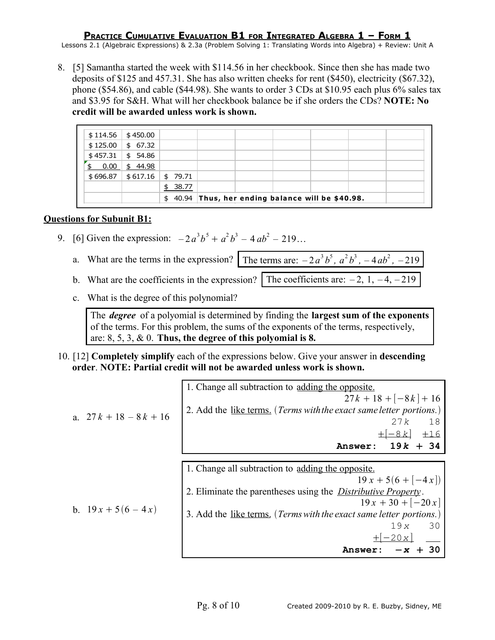Lessons 2.1 (Algebraic Expressions) & 2.3a (Problem Solving 1: Translating Words into Algebra) + Review: Unit A

8. [5] Samantha started the week with \$114.56 in her checkbook. Since then she has made two deposits of \$125 and 457.31. She has also written cheeks for rent (\$450), electricity (\$67.32), phone (\$54.86), and cable (\$44.98). She wants to order 3 CDs at \$10.95 each plus 6% sales tax and \$3.95 for S&H. What will her checkbook balance be if she orders the CDs? **NOTE: No credit will be awarded unless work is shown.**

| \$114.56   | \$450.00                                           |    |          |  |  |  |  |  |
|------------|----------------------------------------------------|----|----------|--|--|--|--|--|
| \$125.00   | \$67.32                                            |    |          |  |  |  |  |  |
| \$457.31   | \$54.86                                            |    |          |  |  |  |  |  |
| 0.00<br>\$ | \$44.98                                            |    |          |  |  |  |  |  |
| \$696.87   | \$ 617.16                                          |    | \$ 79.71 |  |  |  |  |  |
|            |                                                    | \$ | 38.77    |  |  |  |  |  |
|            | $$40.94$ Thus, her ending balance will be \$40.98. |    |          |  |  |  |  |  |

### **Questions for Subunit B1:**

- 9. [6] Given the expression:  $-2a^3b^5 + a^2b^3 4ab^2 219...$ 
	- a. What are the terms in the expression? The terms are:  $-2a^3b^5$ ,  $a^2b^3$ ,  $-4ab^2$ ,  $-219$
	- b. What are the coefficients in the expression? The coefficients are:  $-2$ ,  $1, -4, -219$

c. What is the degree of this polynomial?

The *degree* of a polyomial is determined by finding the **largest sum of the exponents** of the terms. For this problem, the sums of the exponents of the terms, respectively, are: 8, 5, 3, & 0. **Thus, the degree of this polyomial is 8.**

10. [12] **Completely simplify** each of the expressions below. Give your answer in **descending order**. **NOTE: Partial credit will not be awarded unless work is shown.**

| a. $27k+18-8k+16$    | 1. Change all subtraction to adding the opposite.<br>$27k+18+[-8k]+16$<br>2. Add the like terms. (Terms with the exact same letter portions.)<br>18<br>27k                                                                                                                                |
|----------------------|-------------------------------------------------------------------------------------------------------------------------------------------------------------------------------------------------------------------------------------------------------------------------------------------|
|                      | $+ -8k $<br>$+16$<br>$19k + 34$<br>Answer:                                                                                                                                                                                                                                                |
| b. $19x + 5(6 - 4x)$ | 1. Change all subtraction to adding the opposite.<br>$19x + 5(6 + (-4x))$<br>2. Eliminate the parentheses using the <i>Distributive Property</i> .<br>$19x + 30 + [-20x]$<br>3. Add the like terms. (Terms with the exact same letter portions.)<br>30<br>19x<br>$-20x$<br><b>Answer:</b> |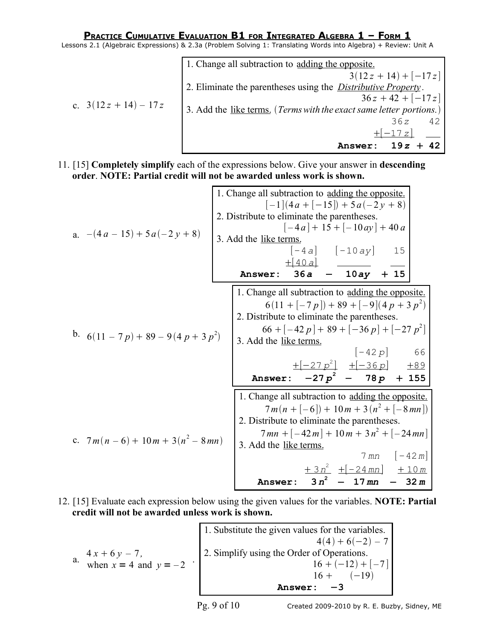Lessons 2.1 (Algebraic Expressions) & 2.3a (Problem Solving 1: Translating Words into Algebra) + Review: Unit A

|                      | 1. Change all subtraction to adding the opposite.                     |
|----------------------|-----------------------------------------------------------------------|
|                      | $3(12z+14)+[-17z]$                                                    |
|                      | 2. Eliminate the parentheses using the <i>Distributive Property</i> . |
|                      | $36z + 42 + [-17z]$                                                   |
| c. $3(12z+14) - 17z$ | 3. Add the like terms. (Terms with the exact same letter portions.)   |
|                      | 42<br>36z                                                             |
|                      | $+ -17z $                                                             |
|                      | $+ 42$<br>19z<br>Answer:                                              |

11. [15] **Completely simplify** each of the expressions below. Give your answer in **descending order**. **NOTE: Partial credit will not be awarded unless work is shown.**

1. Change all subtraction to adding the opposite.  
\n1. (1) 
$$
(4a + [-15]) + 5a(-2y + 8)
$$
  
\n2. Distribute to eliminate the parentheses.  
\n1.  $(-4a) + 15 + [-10ay) + 40a$   
\n3. Add the like terms.  
\n1. Change all subtraction to adding the opposite.  
\n4a)  $15 + [-10ay) + 10a$   
\n4.  $15 + [-10ay) + 15$   
\n5.  $6a - 10ay + 15$   
\n6.  $(11 - 7p) + 89 - 9(4p + 3p^2)$   
\n7. Change all subtraction to adding the opposite  
\n6.  $(11 + [-7p]) + 89 + [-9](4p + 3p^2)$   
\n8. Add the like terms.  
\n $66 + [-42p] + 89 + [-36p] + [-27p^2]$   
\n9. Add the like terms.  
\n $1. \text{ Change all subtraction to adding the opposite.}$   
\n $1. \text{Change all subtraction to adding the opposite.}$   
\n1. Change all subtraction to adding the opposite.  
\n $7m(n+[-6]) + 10m + 3(n^2 + [-8mn])$   
\n2. Distribute to eliminate the parentheses.  
\n $7m(n+[-6]) + 10m + 3(n^2 + [-8mn])$   
\n2. Distribute to eliminate the parentheses.  
\n $7mn + [-42m] + 10m + 3n^2 + [-24mn]$   
\n3. Add the like terms.  
\n $7mn - [-42m]$   
\nAnswer:  $3n^2 - 17mn - 32m$ 

12. [15] Evaluate each expression below using the given values for the variables. **NOTE: Partial credit will not be awarded unless work is shown.**

a.  $4x + 6y - 7$ ,  $4x + 6y - 7$ ,<br>when  $x = 4$  and  $y = -2$  <br>  $2 \cdot \text{Simplify using the Order of Operations.}$ <br>  $16 + (-12) +$ 1. Substitute the given values for the variables.  $4(4) + 6(-2) - 7$  $16 + (-12) + [-7]$  $16 + (-19)$ **Answer:** −**3**